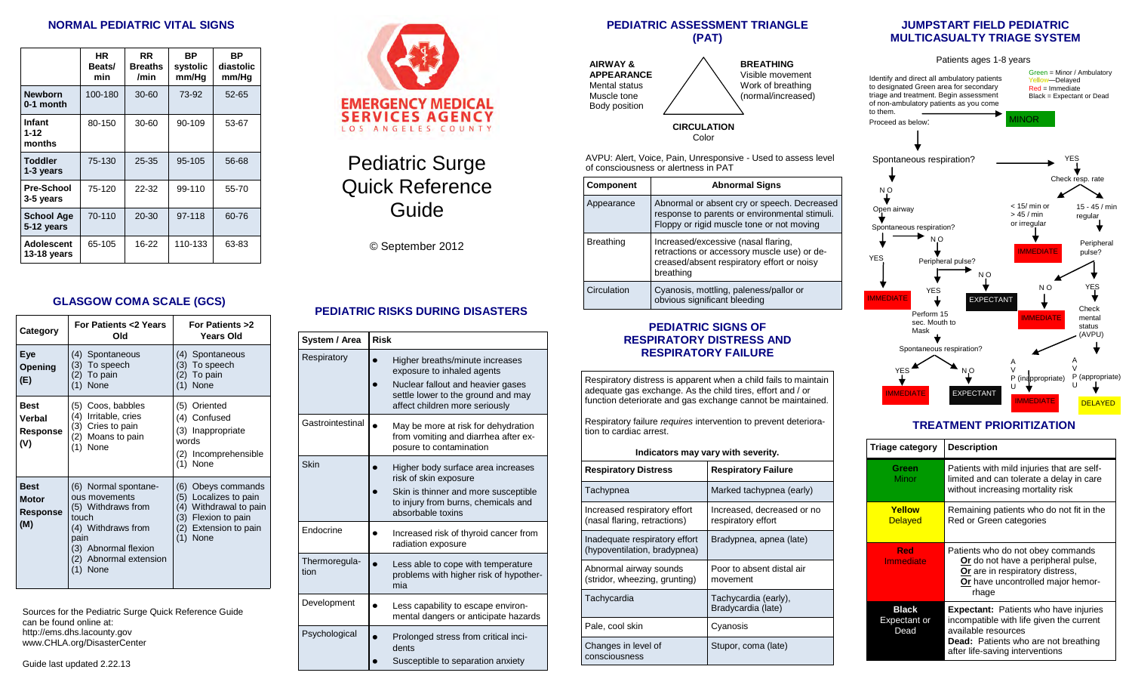## **NORMAL PEDIATRIC VITAL SIGNS**

|                                 | HR.<br>Beats/<br>min | <b>RR</b><br><b>Breaths</b><br>/min | ВP<br>systolic<br>mm/Hg | ВP<br>diastolic<br>mm/Hg |
|---------------------------------|----------------------|-------------------------------------|-------------------------|--------------------------|
| <b>Newborn</b><br>0-1 month     | 100-180              | $30 - 60$                           | 73-92                   | $52 - 65$                |
| Infant<br>$1 - 12$<br>months    | 80-150               | 30-60                               | 90-109                  | 53-67                    |
| <b>Toddler</b><br>1-3 years     | 75-130               | 25-35                               | 95-105                  | 56-68                    |
| <b>Pre-School</b><br>3-5 years  | 75-120               | 22-32                               | 99-110                  | 55-70                    |
| <b>School Age</b><br>5-12 years | 70-110               | 20-30                               | 97-118                  | 60-76                    |
| Adolescent<br>13-18 years       | 65-105               | $16 - 22$                           | 110-133                 | 63-83                    |

## **GLASGOW COMA SCALE (GCS)**

| Category                                       | For Patients <2 Years<br>Old                                                                                                                                        | For Patients >2<br><b>Years Old</b>                                                                                                                 |  |  |
|------------------------------------------------|---------------------------------------------------------------------------------------------------------------------------------------------------------------------|-----------------------------------------------------------------------------------------------------------------------------------------------------|--|--|
| Eye<br>Opening<br>(E)                          | (4)<br>Spontaneous<br>(3) To speech<br>(2) To pain<br>$(1)$ None                                                                                                    | Spontaneous<br>(4)<br>To speech<br>(3)<br>(2) To pain<br>None<br>(1)                                                                                |  |  |
| <b>Best</b><br>Verbal<br>Response<br>(V)       | Coos, babbles<br>(5)<br>Irritable, cries<br>(4)<br>Cries to pain<br>(3)<br>(2) Moans to pain<br>None<br>(1)                                                         | (5) Oriented<br>(4) Confused<br>(3) Inappropriate<br>words<br>(2) Incomprehensible<br>(1) None                                                      |  |  |
| <b>Best</b><br><b>Motor</b><br>Response<br>(M) | (6) Normal spontane-<br>ous movements<br>(5) Withdraws from<br>touch<br>(4) Withdraws from<br>pain<br>(3) Abnormal flexion<br>(2) Abnormal extension<br>None<br>(1) | Obeys commands<br>(6)<br>Localizes to pain<br>(5)<br>Withdrawal to pain<br>(4)<br>Flexion to pain<br>(3)<br>Extension to pain<br>(2)<br>None<br>(1) |  |  |

Sources for the Pediatric Surge Quick Reference Guide can be found online at: http://ems.dhs.lacounty.gov www.CHLA.org/DisasterCenter

# Pediatric Surge Quick Reference Guide

© September 2012

# **PEDIATRIC RISKS DURING DISASTERS**

| System / Area         | <b>Risk</b>                                                                                                                                                                |
|-----------------------|----------------------------------------------------------------------------------------------------------------------------------------------------------------------------|
| Respiratory           | Higher breaths/minute increases<br>exposure to inhaled agents<br>Nuclear fallout and heavier gases<br>settle lower to the ground and may<br>affect children more seriously |
| Gastrointestinal      | May be more at risk for dehydration<br>from vomiting and diarrhea after ex-<br>posure to contamination                                                                     |
| Skin                  | Higher body surface area increases<br>risk of skin exposure<br>Skin is thinner and more susceptible<br>to injury from burns, chemicals and<br>absorbable toxins            |
| Endocrine             | Increased risk of thyroid cancer from<br>radiation exposure                                                                                                                |
| Thermoregula-<br>tion | Less able to cope with temperature<br>problems with higher risk of hypother-<br>mia                                                                                        |
| Development           | Less capability to escape environ-<br>mental dangers or anticipate hazards                                                                                                 |
| Psychological         | Prolonged stress from critical inci-<br>dents<br>Susceptible to separation anxiety                                                                                         |

#### **PEDIATRIC ASSESSMENT TRIANGLE (PAT)**



**BREATHING**  Visible movement Work of breathing (normal/increased)

#### **CIRCULATION**  Color

AVPU: Alert, Voice, Pain, Unresponsive - Used to assess level of consciousness or alertness in PAT

| <b>Component</b> | <b>Abnormal Signs</b>                                                                                                                         |
|------------------|-----------------------------------------------------------------------------------------------------------------------------------------------|
| Appearance       | Abnormal or absent cry or speech. Decreased<br>response to parents or environmental stimuli.<br>Floppy or rigid muscle tone or not moving     |
| <b>Breathing</b> | Increased/excessive (nasal flaring,<br>retractions or accessory muscle use) or de-<br>creased/absent respiratory effort or noisy<br>breathing |
| Circulation      | Cyanosis, mottling, paleness/pallor or<br>obvious significant bleeding                                                                        |

## **PEDIATRIC SIGNS OF RESPIRATORY DISTRESS AND RESPIRATORY FAILURE**

Respiratory distress is apparent when a child fails to maintain adequate gas exchange. As the child tires, effort and / or function deteriorate and gas exchange cannot be maintained.

Respiratory failure *requires* intervention to prevent deterioration to cardiac arrest.

| Indicators may vary with severity.                            |                                                  |  |  |
|---------------------------------------------------------------|--------------------------------------------------|--|--|
| <b>Respiratory Distress</b>                                   | <b>Respiratory Failure</b>                       |  |  |
| Tachypnea                                                     | Marked tachypnea (early)                         |  |  |
| Increased respiratory effort<br>(nasal flaring, retractions)  | Increased, decreased or no<br>respiratory effort |  |  |
| Inadequate respiratory effort<br>(hypoventilation, bradypnea) | Bradypnea, apnea (late)                          |  |  |
| Abnormal airway sounds<br>(stridor, wheezing, grunting)       | Poor to absent distal air<br>movement            |  |  |
| Tachycardia                                                   | Tachycardia (early),<br>Bradycardia (late)       |  |  |
| Pale, cool skin                                               | Cyanosis                                         |  |  |
| Changes in level of<br>consciousness                          | Stupor, coma (late)                              |  |  |

## **JUMPSTART FIELD PEDIATRIC MULTICASUALTY TRIAGE SYSTEM**



# **TREATMENT PRIORITIZATION**

| Triage category                      | <b>Description</b>                                                                                                                                                                                |
|--------------------------------------|---------------------------------------------------------------------------------------------------------------------------------------------------------------------------------------------------|
| Green<br>Minor                       | Patients with mild injuries that are self-<br>limited and can tolerate a delay in care<br>without increasing mortality risk                                                                       |
| Yellow<br><b>Delayed</b>             | Remaining patients who do not fit in the<br>Red or Green categories                                                                                                                               |
| Red<br>Immediate                     | Patients who do not obey commands<br>Or do not have a peripheral pulse,<br>Or are in respiratory distress,<br>Or have uncontrolled major hemor-<br>rhage                                          |
| <b>Black</b><br>Expectant or<br>Dead | <b>Expectant:</b> Patients who have injuries<br>incompatible with life given the current<br>available resources<br><b>Dead:</b> Patients who are not breathing<br>after life-saving interventions |